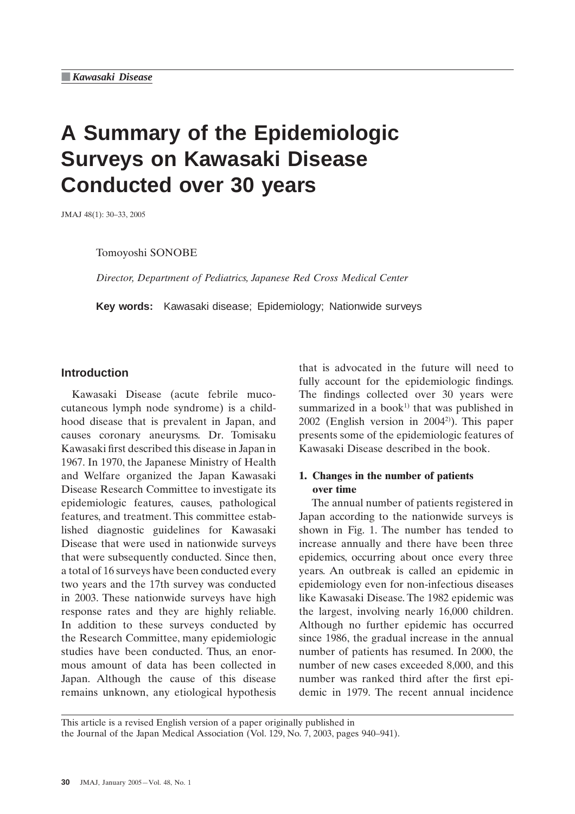# **A Summary of the Epidemiologic Surveys on Kawasaki Disease Conducted over 30 years**

JMAJ 48(1): 30–33, 2005

Tomoyoshi SONOBE

*Director, Department of Pediatrics, Japanese Red Cross Medical Center*

**Key words:** Kawasaki disease; Epidemiology; Nationwide surveys

## **Introduction**

Kawasaki Disease (acute febrile mucocutaneous lymph node syndrome) is a childhood disease that is prevalent in Japan, and causes coronary aneurysms. Dr. Tomisaku Kawasaki first described this disease in Japan in 1967. In 1970, the Japanese Ministry of Health and Welfare organized the Japan Kawasaki Disease Research Committee to investigate its epidemiologic features, causes, pathological features, and treatment. This committee established diagnostic guidelines for Kawasaki Disease that were used in nationwide surveys that were subsequently conducted. Since then, a total of 16 surveys have been conducted every two years and the 17th survey was conducted in 2003. These nationwide surveys have high response rates and they are highly reliable. In addition to these surveys conducted by the Research Committee, many epidemiologic studies have been conducted. Thus, an enormous amount of data has been collected in Japan. Although the cause of this disease remains unknown, any etiological hypothesis that is advocated in the future will need to fully account for the epidemiologic findings. The findings collected over 30 years were summarized in a book<sup>1)</sup> that was published in  $2002$  (English version in  $2004<sup>2</sup>$ ). This paper presents some of the epidemiologic features of Kawasaki Disease described in the book.

# **1. Changes in the number of patients over time**

The annual number of patients registered in Japan according to the nationwide surveys is shown in Fig. 1. The number has tended to increase annually and there have been three epidemics, occurring about once every three years. An outbreak is called an epidemic in epidemiology even for non-infectious diseases like Kawasaki Disease. The 1982 epidemic was the largest, involving nearly 16,000 children. Although no further epidemic has occurred since 1986, the gradual increase in the annual number of patients has resumed. In 2000, the number of new cases exceeded 8,000, and this number was ranked third after the first epidemic in 1979. The recent annual incidence

This article is a revised English version of a paper originally published in the Journal of the Japan Medical Association (Vol. 129, No. 7, 2003, pages 940–941).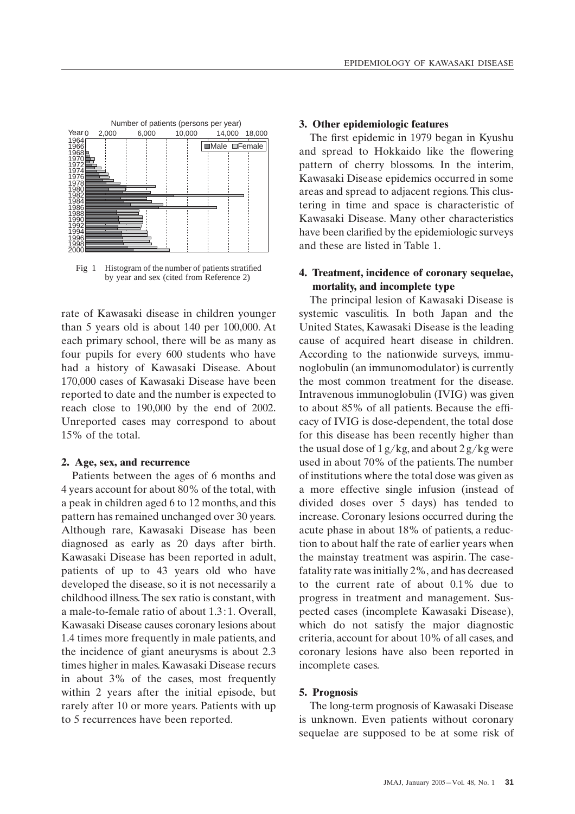

Fig 1 Histogram of the number of patients stratified by year and sex (cited from Reference 2)

rate of Kawasaki disease in children younger than 5 years old is about 140 per 100,000. At each primary school, there will be as many as four pupils for every 600 students who have had a history of Kawasaki Disease. About 170,000 cases of Kawasaki Disease have been reported to date and the number is expected to reach close to 190,000 by the end of 2002. Unreported cases may correspond to about 15% of the total.

## **2. Age, sex, and recurrence**

Patients between the ages of 6 months and 4 years account for about 80% of the total, with a peak in children aged 6 to 12 months, and this pattern has remained unchanged over 30 years. Although rare, Kawasaki Disease has been diagnosed as early as 20 days after birth. Kawasaki Disease has been reported in adult, patients of up to 43 years old who have developed the disease, so it is not necessarily a childhood illness. The sex ratio is constant, with a male-to-female ratio of about 1.3 : 1. Overall, Kawasaki Disease causes coronary lesions about 1.4 times more frequently in male patients, and the incidence of giant aneurysms is about 2.3 times higher in males. Kawasaki Disease recurs in about 3% of the cases, most frequently within 2 years after the initial episode, but rarely after 10 or more years. Patients with up to 5 recurrences have been reported.

#### **3. Other epidemiologic features**

The first epidemic in 1979 began in Kyushu and spread to Hokkaido like the flowering pattern of cherry blossoms. In the interim, Kawasaki Disease epidemics occurred in some areas and spread to adjacent regions. This clustering in time and space is characteristic of Kawasaki Disease. Many other characteristics have been clarified by the epidemiologic surveys and these are listed in Table 1.

## **4. Treatment, incidence of coronary sequelae, mortality, and incomplete type**

The principal lesion of Kawasaki Disease is systemic vasculitis. In both Japan and the United States, Kawasaki Disease is the leading cause of acquired heart disease in children. According to the nationwide surveys, immunoglobulin (an immunomodulator) is currently the most common treatment for the disease. Intravenous immunoglobulin (IVIG) was given to about 85% of all patients. Because the efficacy of IVIG is dose-dependent, the total dose for this disease has been recently higher than the usual dose of  $1 g/kg$ , and about  $2 g/kg$  were used in about 70% of the patients. The number of institutions where the total dose was given as a more effective single infusion (instead of divided doses over 5 days) has tended to increase. Coronary lesions occurred during the acute phase in about 18% of patients, a reduction to about half the rate of earlier years when the mainstay treatment was aspirin. The casefatality rate was initially 2%, and has decreased to the current rate of about 0.1% due to progress in treatment and management. Suspected cases (incomplete Kawasaki Disease), which do not satisfy the major diagnostic criteria, account for about 10% of all cases, and coronary lesions have also been reported in incomplete cases.

## **5. Prognosis**

The long-term prognosis of Kawasaki Disease is unknown. Even patients without coronary sequelae are supposed to be at some risk of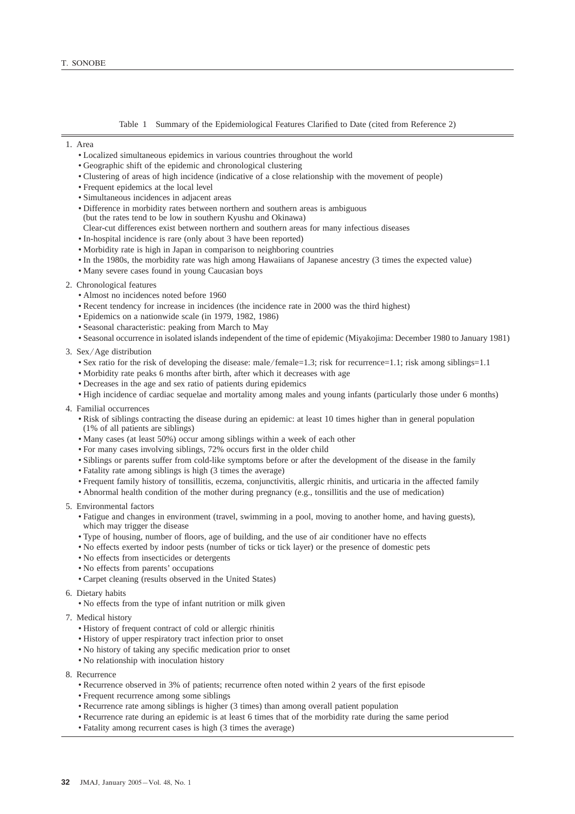Table 1 Summary of the Epidemiological Features Clarified to Date (cited from Reference 2)

- 1. Area
	- Localized simultaneous epidemics in various countries throughout the world
	- Geographic shift of the epidemic and chronological clustering
	- Clustering of areas of high incidence (indicative of a close relationship with the movement of people)
	- Frequent epidemics at the local level
	- Simultaneous incidences in adjacent areas
	- Difference in morbidity rates between northern and southern areas is ambiguous
	- (but the rates tend to be low in southern Kyushu and Okinawa)
	- Clear-cut differences exist between northern and southern areas for many infectious diseases
	- In-hospital incidence is rare (only about 3 have been reported)
	- Morbidity rate is high in Japan in comparison to neighboring countries
	- In the 1980s, the morbidity rate was high among Hawaiians of Japanese ancestry (3 times the expected value)
	- Many severe cases found in young Caucasian boys
- 2. Chronological features
	- Almost no incidences noted before 1960
	- Recent tendency for increase in incidences (the incidence rate in 2000 was the third highest)
	- Epidemics on a nationwide scale (in 1979, 1982, 1986)
	- Seasonal characteristic: peaking from March to May
	- Seasonal occurrence in isolated islands independent of the time of epidemic (Miyakojima: December 1980 to January 1981)
- 3. Sex/Age distribution
	- Sex ratio for the risk of developing the disease: male/female=1.3; risk for recurrence=1.1; risk among siblings=1.1
	- Morbidity rate peaks 6 months after birth, after which it decreases with age
	- Decreases in the age and sex ratio of patients during epidemics
	- High incidence of cardiac sequelae and mortality among males and young infants (particularly those under 6 months)
- 4. Familial occurrences
	- Risk of siblings contracting the disease during an epidemic: at least 10 times higher than in general population (1% of all patients are siblings)
	- Many cases (at least 50%) occur among siblings within a week of each other
	- For many cases involving siblings, 72% occurs first in the older child
	- Siblings or parents suffer from cold-like symptoms before or after the development of the disease in the family
	- Fatality rate among siblings is high (3 times the average)
	- Frequent family history of tonsillitis, eczema, conjunctivitis, allergic rhinitis, and urticaria in the affected family
	- Abnormal health condition of the mother during pregnancy (e.g., tonsillitis and the use of medication)
- 5. Environmental factors
	- Fatigue and changes in environment (travel, swimming in a pool, moving to another home, and having guests), which may trigger the disease
	- Type of housing, number of floors, age of building, and the use of air conditioner have no effects
	- No effects exerted by indoor pests (number of ticks or tick layer) or the presence of domestic pets
	- No effects from insecticides or detergents
	- No effects from parents' occupations
	- Carpet cleaning (results observed in the United States)
- 6. Dietary habits
	- No effects from the type of infant nutrition or milk given
- 7. Medical history
	- History of frequent contract of cold or allergic rhinitis
	- History of upper respiratory tract infection prior to onset
	- No history of taking any specific medication prior to onset
	- No relationship with inoculation history
- 8. Recurrence
	- Recurrence observed in 3% of patients; recurrence often noted within 2 years of the first episode
	- Frequent recurrence among some siblings
	- Recurrence rate among siblings is higher (3 times) than among overall patient population
	- Recurrence rate during an epidemic is at least 6 times that of the morbidity rate during the same period
	- Fatality among recurrent cases is high (3 times the average)